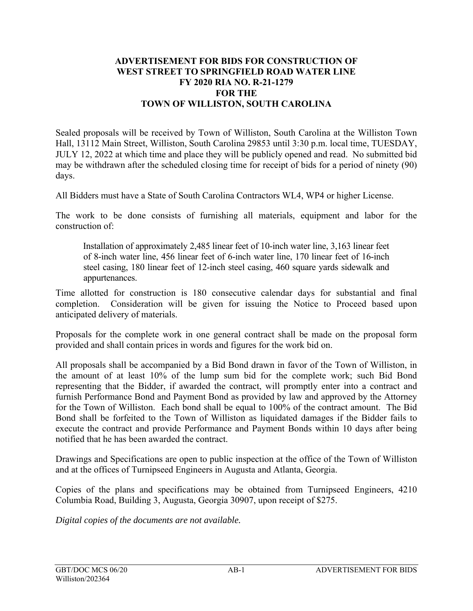## **ADVERTISEMENT FOR BIDS FOR CONSTRUCTION OF WEST STREET TO SPRINGFIELD ROAD WATER LINE FY 2020 RIA NO. R-21-1279 FOR THE TOWN OF WILLISTON, SOUTH CAROLINA**

Sealed proposals will be received by Town of Williston, South Carolina at the Williston Town Hall, 13112 Main Street, Williston, South Carolina 29853 until 3:30 p.m. local time, TUESDAY, JULY 12, 2022 at which time and place they will be publicly opened and read. No submitted bid may be withdrawn after the scheduled closing time for receipt of bids for a period of ninety (90) days.

All Bidders must have a State of South Carolina Contractors WL4, WP4 or higher License.

The work to be done consists of furnishing all materials, equipment and labor for the construction of:

Installation of approximately 2,485 linear feet of 10-inch water line, 3,163 linear feet of 8-inch water line, 456 linear feet of 6-inch water line, 170 linear feet of 16-inch steel casing, 180 linear feet of 12-inch steel casing, 460 square yards sidewalk and appurtenances.

Time allotted for construction is 180 consecutive calendar days for substantial and final completion. Consideration will be given for issuing the Notice to Proceed based upon anticipated delivery of materials.

Proposals for the complete work in one general contract shall be made on the proposal form provided and shall contain prices in words and figures for the work bid on.

All proposals shall be accompanied by a Bid Bond drawn in favor of the Town of Williston, in the amount of at least 10% of the lump sum bid for the complete work; such Bid Bond representing that the Bidder, if awarded the contract, will promptly enter into a contract and furnish Performance Bond and Payment Bond as provided by law and approved by the Attorney for the Town of Williston. Each bond shall be equal to 100% of the contract amount. The Bid Bond shall be forfeited to the Town of Williston as liquidated damages if the Bidder fails to execute the contract and provide Performance and Payment Bonds within 10 days after being notified that he has been awarded the contract.

Drawings and Specifications are open to public inspection at the office of the Town of Williston and at the offices of Turnipseed Engineers in Augusta and Atlanta, Georgia.

Copies of the plans and specifications may be obtained from Turnipseed Engineers, 4210 Columbia Road, Building 3, Augusta, Georgia 30907, upon receipt of \$275.

*Digital copies of the documents are not available.*